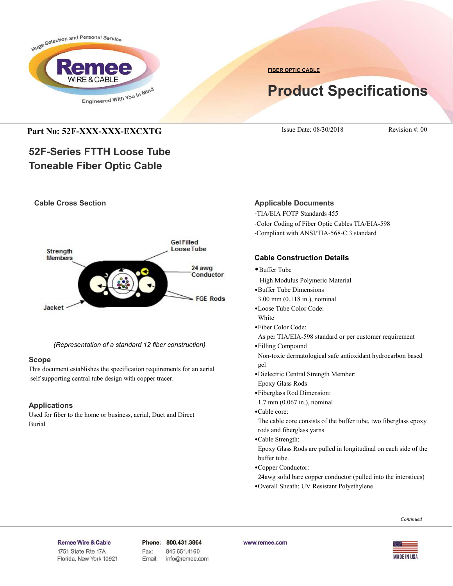

**FIBER OPTIC CABLE**

# **Product Specifications**

## **Part No: 52F-XXX-XXX-EXCXTG** Issue Date: 08/30/2018 Revision #: 00

## **52F-Series FTTH Loose Tube Toneable Fiber Optic Cable**

## **Cable Cross Section**



*(Representation of a standard 12 fiber construction)*

## **Scope**

This document establishes the specification requirements for an aerial self supporting central tube design with copper tracer.

## **Applications**

Used for fiber to the home or business, aerial, Duct and Direct Burial

## **Applicable Documents**

-TIA/EIA FOTP Standards 455 -Color Coding of Fiber Optic Cables TIA/EIA-598 -Compliant with ANSI/TIA-568-C.3 standard

## **Cable Construction Details**

- •Buffer Tube
- High Modulus Polymeric Material
- •Buffer Tube Dimensions
- 3.00 mm (0.118 in.), nominal
- •Loose Tube Color Code: White
- •Fiber Color Code:
- As per TIA/EIA-598 standard or per customer requirement
- •Filling Compound

 Non-toxic dermatological safe antioxidant hydrocarbon based gel

- •Dielectric Central Strength Member:
- Epoxy Glass Rods
- •Fiberglass Rod Dimension:
- 1.7 mm (0.067 in.), nominal
- •Cable core:

 The cable core consists of the buffer tube, two fiberglass epoxy rods and fiberglass yarns

•Cable Strength:

 Epoxy Glass Rods are pulled in longitudinal on each side of the buffer tube.

•Copper Conductor:

24awg solid bare copper conductor (pulled into the interstices)

•Overall Sheath: UV Resistant Polyethylene

#### *Continued*

### Remee Wire & Cable

Issue No.: 05 Florida, New York 10921 Phone: 800.431.3864 Fax: 845.651.4160 Email: info@remee.com www.remee.com

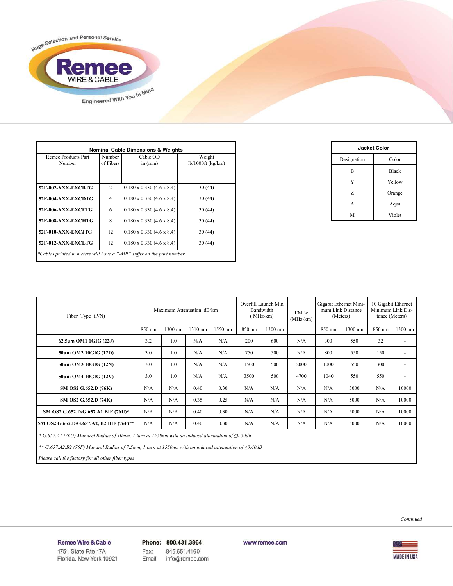

| Remee Products Part<br>Number | Number<br>of Fibers | Cable OD<br>in $(mm)$            | Weight<br>$lb/1000ft$ (kg/km) |  |  |
|-------------------------------|---------------------|----------------------------------|-------------------------------|--|--|
| 52F-002-XXX-EXCBTG            | $\overline{c}$      | $0.180 \times 0.330$ (4.6 x 8.4) | 30(44)                        |  |  |
| 52F-004-XXX-EXCDTG            | $\overline{4}$      | $0.180 \times 0.330$ (4.6 x 8.4) | 30(44)                        |  |  |
| 52F-006-XXX-EXCFTG            | 6                   | $0.180 \times 0.330$ (4.6 x 8.4) | 30(44)                        |  |  |
| 52F-008-XXX-EXCHTG            | 8                   | $0.180 \times 0.330$ (4.6 x 8.4) | 30(44)                        |  |  |
| 52F-010-XXX-EXCJTG            | 12                  | $0.180 \times 0.330$ (4.6 x 8.4) | 30(44)                        |  |  |
| 52F-012-XXX-EXCLTG            | 12                  | $0.180 \times 0.330$ (4.6 x 8.4) | 30(44)                        |  |  |

| <b>Jacket Color</b> |              |  |  |  |  |  |  |
|---------------------|--------------|--|--|--|--|--|--|
| Designation         | Color        |  |  |  |  |  |  |
| B                   | <b>Black</b> |  |  |  |  |  |  |
| Y                   | Yellow       |  |  |  |  |  |  |
| Z                   | Orange       |  |  |  |  |  |  |
| A                   | Aqua         |  |  |  |  |  |  |
| M                   | Violet       |  |  |  |  |  |  |

| Fiber Type $(P/N)$                      | Maximum Attenuation dB/km |         |         | Overfill Launch Min<br>Bandwidth<br>$(MHz-km)$ |        | <b>EMBc</b><br>$(MHz-km)$ | Gigabit Ethernet Mini-<br>mum Link Distance<br>(Meters) |        | 10 Gigabit Ethernet<br>Minimum Link Dis-<br>tance (Meters) |        |                          |
|-----------------------------------------|---------------------------|---------|---------|------------------------------------------------|--------|---------------------------|---------------------------------------------------------|--------|------------------------------------------------------------|--------|--------------------------|
|                                         | 850 nm                    | 1300 nm | 1310 nm | 1550 nm                                        | 850 nm | 1300 nm                   |                                                         | 850 nm | 1300 nm                                                    | 850 nm | 1300 nm                  |
| $62.5\mu m$ OM1 1GIG (22J)              | 3.2                       | 1.0     | N/A     | N/A                                            | 200    | 600                       | N/A                                                     | 300    | 550                                                        | 32     | ٠                        |
| 50um OM2 10GIG (12D)                    | 3.0                       | 1.0     | N/A     | N/A                                            | 750    | 500                       | N/A                                                     | 800    | 550                                                        | 150    | ٠                        |
| 50um OM3 10GIG (12N)                    | 3.0                       | 1.0     | N/A     | N/A                                            | 1500   | 500                       | 2000                                                    | 1000   | 550                                                        | 300    | ٠                        |
| 50um OM4 10GIG (12V)                    | 3.0                       | 1.0     | N/A     | N/A                                            | 3500   | 500                       | 4700                                                    | 1040   | 550                                                        | 550    | $\overline{\phantom{a}}$ |
| SM OS2 G.652.D (76K)                    | N/A                       | N/A     | 0.40    | 0.30                                           | N/A    | N/A                       | N/A                                                     | N/A    | 5000                                                       | N/A    | 10000                    |
| SM OS2 G.652.D (74K)                    | N/A                       | N/A     | 0.35    | 0.25                                           | N/A    | N/A                       | N/A                                                     | N/A    | 5000                                                       | N/A    | 10000                    |
| SM OS2 G.652.D/G.657.A1 BIF (76U)*      | N/A                       | N/A     | 0.40    | 0.30                                           | N/A    | N/A                       | N/A                                                     | N/A    | 5000                                                       | N/A    | 10000                    |
| SM OS2 G.652.D/G.657.A2, B2 BIF (76F)** | N/A                       | N/A     | 0.40    | 0.30                                           | N/A    | N/A                       | N/A                                                     | N/A    | 5000                                                       | N/A    | 10000                    |

 *\* G.657.A1 (76U) Mandrel Radius of 10mm, 1 turn at 1550nm with an induced attenuation of ≤0.50dB*

 *\*\* G.657.A2,B2 (76F) Mandrel Radius of 7.5mm, 1 turn at 1550nm with an induced attenuation of ≤0.40dB*

 *Please call the factory for all other fiber types*

*Continued*

Remee Wire & Cable Issue No.: 05

Florida, New York 10921

Phone: 800.431.3864 Fax: 845.651.4160 info@remee.com Email:

www.remee.com